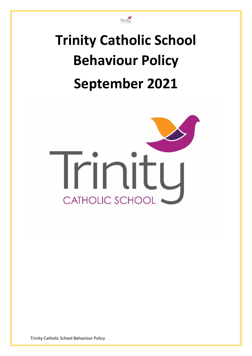

# **Trinity Catholic School Behaviour Policy September 2021**



Trinity Catholic School Behaviour Policy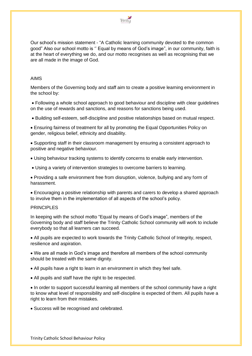

Our school's mission statement - "A Catholic learning community devoted to the common good" Also our school motto is '' Equal by means of God's image", in our community, faith is at the heart of everything we do, and our motto recognises as well as recognising that we are all made in the image of God.

## AIMS

Members of the Governing body and staff aim to create a positive learning environment in the school by:

• Following a whole school approach to good behaviour and discipline with clear guidelines on the use of rewards and sanctions, and reasons for sanctions being used.

• Building self-esteem, self-discipline and positive relationships based on mutual respect.

• Ensuring fairness of treatment for all by promoting the Equal Opportunities Policy on gender, religious belief, ethnicity and disability.

• Supporting staff in their classroom management by ensuring a consistent approach to positive and negative behaviour.

• Using behaviour tracking systems to identify concerns to enable early intervention.

• Using a variety of intervention strategies to overcome barriers to learning.

• Providing a safe environment free from disruption, violence, bullying and any form of harassment.

• Encouraging a positive relationship with parents and carers to develop a shared approach to involve them in the implementation of all aspects of the school's policy.

### PRINCIPI FS

In keeping with the school motto "Equal by means of God's image", members of the Governing body and staff believe the Trinity Catholic School community will work to include everybody so that all learners can succeed.

• All pupils are expected to work towards the Trinity Catholic School of Integrity, respect, resilience and aspiration.

• We are all made in God's image and therefore all members of the school community should be treated with the same dignity.

• All pupils have a right to learn in an environment in which they feel safe.

• All pupils and staff have the right to be respected.

• In order to support successful learning all members of the school community have a right to know what level of responsibility and self-discipline is expected of them. All pupils have a right to learn from their mistakes.

• Success will be recognised and celebrated.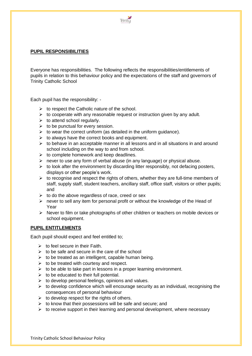

## **PUPIL RESPONSIBILITIES**

Everyone has responsibilities. The following reflects the responsibilities/entitlements of pupils in relation to this behaviour policy and the expectations of the staff and governors of Trinity Catholic School

Each pupil has the responsibility: -

- $\triangleright$  to respect the Catholic nature of the school.
- $\triangleright$  to cooperate with any reasonable request or instruction given by any adult.
- $\triangleright$  to attend school regularly.
- $\triangleright$  to be punctual for every session.
- $\triangleright$  to wear the correct uniform (as detailed in the uniform quidance).
- $\triangleright$  to always have the correct books and equipment.
- $\triangleright$  to behave in an acceptable manner in all lessons and in all situations in and around school including on the way to and from school.
- $\triangleright$  to complete homework and keep deadlines.
- $\triangleright$  never to use any form of verbal abuse (in any language) or physical abuse.
- $\triangleright$  to look after the environment by discarding litter responsibly, not defacing posters, displays or other people's work.
- $\triangleright$  to recognise and respect the rights of others, whether they are full-time members of staff, supply staff, student teachers, ancillary staff, office staff, visitors or other pupils; and
- $\triangleright$  to do the above regardless of race, creed or sex
- $\triangleright$  never to sell any item for personal profit or without the knowledge of the Head of Year
- ➢ Never to film or take photographs of other children or teachers on mobile devices or school equipment.

## **PUPIL ENTITLEMENTS**

Each pupil should expect and feel entitled to;

- $\triangleright$  to feel secure in their Faith.
- $\geq$  to be safe and secure in the care of the school
- $\triangleright$  to be treated as an intelligent, capable human being.
- $\triangleright$  to be treated with courtesy and respect.
- $\triangleright$  to be able to take part in lessons in a proper learning environment.
- $\triangleright$  to be educated to their full potential.
- $\triangleright$  to develop personal feelings, opinions and values.
- $\triangleright$  to develop confidence which will encourage security as an individual, recognising the consequences of personal behaviour
- $\triangleright$  to develop respect for the rights of others.
- $\triangleright$  to know that their possessions will be safe and secure; and
- $\triangleright$  to receive support in their learning and personal development, where necessary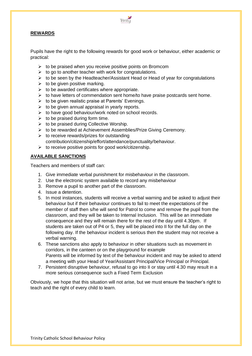

## **REWARDS**

Pupils have the right to the following rewards for good work or behaviour, either academic or practical:

- $\triangleright$  to be praised when you receive positive points on Bromcom
- $\triangleright$  to go to another teacher with work for congratulations.
- $\triangleright$  to be seen by the Headteacher/Assistant Head or Head of year for congratulations
- $\triangleright$  to be given positive marking.
- $\triangleright$  to be awarded certificates where appropriate.
- $\triangleright$  to have letters of commendation sent home/to have praise postcards sent home.
- $\triangleright$  to be given realistic praise at Parents' Evenings.
- $\triangleright$  to be given annual appraisal in yearly reports.
- $\triangleright$  to have good behaviour/work noted on school records.
- $\triangleright$  to be praised during form time.
- $\triangleright$  to be praised during Collective Worship.
- ➢ to be rewarded at Achievement Assemblies/Prize Giving Ceremony.
- $\triangleright$  to receive rewards/prizes for outstanding contribution/citizenship/effort/attendance/punctuality/behaviour.
- $\triangleright$  to receive positive points for good work/citizenship.

## **AVAILABLE SANCTIONS**

Teachers and members of staff can:

- 1. Give immediate verbal punishment for misbehaviour in the classroom.
- 2. Use the electronic system available to record any misbehaviour
- 3. Remove a pupil to another part of the classroom.
- 4. Issue a detention.
- 5. In most instances, students will receive a verbal warning and be asked to adjust their behaviour but if their behaviour continues to fail to meet the expectations of the member of staff then s/he will send for Patrol to come and remove the pupil from the classroom, and they will be taken to Internal Inclusion. This will be an immediate consequence and they will remain there for the rest of the day until 4.30pm. If students are taken out of P4 or 5, they will be placed into II for the full day on the following day. If the behaviour incident is serious then the student may not receive a verbal warning.
- 6. These sanctions also apply to behaviour in other situations such as movement in corridors, in the canteen or on the playground for example Parents will be informed by text of the behaviour incident and may be asked to attend a meeting with your Head of Year/Assistant Principal/Vice Principal or Principal.
- 7. Persistent disruptive behaviour, refusal to go into II or stay until 4.30 may result in a more serious consequence such a Fixed Term Exclusion

Obviously, we hope that this situation will not arise, but we must ensure the teacher's right to teach and the right of every child to learn.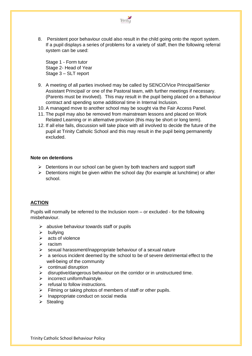

8. Persistent poor behaviour could also result in the child going onto the report system. If a pupil displays a series of problems for a variety of staff, then the following referral system can be used:

Stage 1 - Form tutor Stage 2- Head of Year Stage 3 – SLT report

- 9. A meeting of all parties involved may be called by SENCO/Vice Principal/Senior Assistant Principal/ or one of the Pastoral team, with further meetings if necessary. (Parents must be involved). This may result in the pupil being placed on a Behaviour contract and spending some additional time in Internal Inclusion.
- 10. A managed move to another school may be sought via the Fair Access Panel.
- 11. The pupil may also be removed from mainstream lessons and placed on Work Related Learning or in alternative provision (this may be short or long term).
- 12. If all else fails, discussion will take place with all involved to decide the future of the pupil at Trinity Catholic School and this may result in the pupil being permanently excluded.

### **Note on detentions**

- $\triangleright$  Detentions in our school can be given by both teachers and support staff
- ➢ Detentions might be given within the school day (for example at lunchtime) or after school.

# **ACTION**

Pupils will normally be referred to the Inclusion room – or excluded - for the following misbehaviour.

- $\triangleright$  abusive behaviour towards staff or pupils
- $\triangleright$  bullving
- ➢ acts of violence
- ➢ racism
- $\triangleright$  sexual harassment/inappropriate behaviour of a sexual nature
- $\triangleright$  a serious incident deemed by the school to be of severe detrimental effect to the well-being of the community
- $\triangleright$  continual disruption
- $\triangleright$  disruptive/dangerous behaviour on the corridor or in unstructured time.
- $\triangleright$  incorrect uniform/hairstyle.
- $\triangleright$  refusal to follow instructions.
- $\triangleright$  Filming or taking photos of members of staff or other pupils.
- ➢ Inappropriate conduct on social media
- ➢ Stealing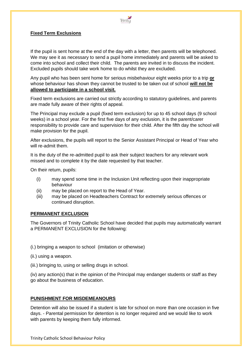

# **Fixed Term Exclusions**

If the pupil is sent home at the end of the day with a letter, then parents will be telephoned. We may see it as necessary to send a pupil home immediately and parents will be asked to come into school and collect their child. The parents are invited in to discuss the incident. Excluded pupils should take work home to do whilst they are excluded.

Any pupil who has been sent home for serious misbehaviour eight weeks prior to a trip **or** whose behaviour has shown they cannot be trusted to be taken out of school **will not be allowed to participate in a school visit.**

Fixed term exclusions are carried out strictly according to statutory guidelines, and parents are made fully aware of their rights of appeal.

The Principal may exclude a pupil (fixed term exclusion) for up to 45 school days (9 school weeks) in a school year. For the first five days of any exclusion, it is the parent/carer responsibility to provide care and supervision for their child. After the fifth day the school will make provision for the pupil.

After exclusions, the pupils will report to the Senior Assistant Principal or Head of Year who will re-admit them.

It is the duty of the re-admitted pupil to ask their subject teachers for any relevant work missed and to complete it by the date requested by that teacher.

On their return, pupils:

- (i) may spend some time in the Inclusion Unit reflecting upon their inappropriate behaviour
- (ii) may be placed on report to the Head of Year.
- (iii) may be placed on Headteachers Contract for extremely serious offences or continued disruption.

### **PERMANENT EXCLUSION**

The Governors of Trinity Catholic School have decided that pupils may automatically warrant a PERMANENT EXCLUSION for the following:

(i.) bringing a weapon to school (imitation or otherwise)

(ii.) using a weapon.

(iii.) bringing to, using or selling drugs in school.

(iv) any action(s) that in the opinion of the Principal may endanger students or staff as they go about the business of education.

## **PUNISHMENT FOR MISDEMEANOURS**

Detention will also be issued if a student is late for school on more than one occasion in five days. - Parental permission for detention is no longer required and we would like to work with parents by keeping them fully informed.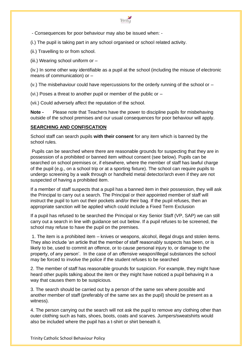

- Consequences for poor behaviour may also be issued when: -

(i.) The pupil is taking part in any school organised or school related activity.

(ii.) Travelling to or from school.

(iii.) Wearing school uniform or –

(iv.) In some other way identifiable as a pupil at the school (including the misuse of electronic means of communication) or –

 $(v.)$  The misbehaviour could have repercussions for the orderly running of the school or  $-$ 

(vi.) Poses a threat to another pupil or member of the public or –

(vii.) Could adversely affect the reputation of the school.

**Note -** Please note that Teachers have the power to discipline pupils for misbehaving outside of the school premises and our usual consequences for poor behaviour will apply.

# **SEARCHING AND CONFISCATION**

School staff can search pupils **with their consent** for any item which is banned by the school rules.

Pupils can be searched where there are reasonable grounds for suspecting that they are in possession of a prohibited or banned item without consent (see below). Pupils can be searched on school premises or, if elsewhere, where the member of staff has lawful charge of the pupil (e.g., on a school trip or at a sporting fixture). The school can require pupils to undergo screening by a walk through or handheld metal detector/arch even if they are not suspected of having a prohibited item.

If a member of staff suspects that a pupil has a banned item in their possession, they will ask the Principal to carry out a search. The Principal or their appointed member of staff will instruct the pupil to turn out their pockets and/or their bag. If the pupil refuses, then an appropriate sanction will be applied which could include a Fixed Term Exclusion

If a pupil has refused to be searched the Principal or Key Senior Staff (VP, SAP) we can still carry out a search in line with guidance set out below. If a pupil refuses to be screened, the school may refuse to have the pupil on the premises.

1. The item is a prohibited item – knives or weapons, alcohol, illegal drugs and stolen items. They also include 'an article that the member of staff reasonably suspects has been, or is likely to be, used to commit an offence, or to cause personal injury to, or damage to the property, of any person'. In the case of an offensive weapon/illegal substances the school may be forced to involve the police if the student refuses to be searched

2. The member of staff has reasonable grounds for suspicion. For example, they might have heard other pupils talking about the item or they might have noticed a pupil behaving in a way that causes them to be suspicious.

3. The search should be carried out by a person of the same sex where possible and another member of staff (preferably of the same sex as the pupil) should be present as a witness).

4. The person carrying out the search will not ask the pupil to remove any clothing other than outer clothing such as hats, shoes, boots, coats and scarves. Jumpers/sweatshirts would also be included where the pupil has a t-shirt or shirt beneath it.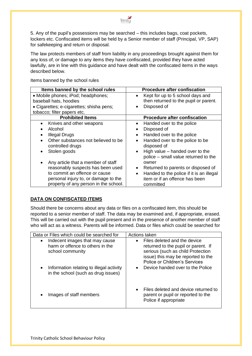

5. Any of the pupil's possessions may be searched – this includes bags, coat pockets, lockers etc. Confiscated items will be held by a Senior member of staff (Principal, VP, SAP) for safekeeping and return or disposal.

The law protects members of staff from liability in any proceedings brought against them for any loss of, or damage to any items they have confiscated, provided they have acted lawfully, are in line with this guidance and have dealt with the confiscated items in the ways described below.

| Items banned by the school rules                                              | <b>Procedure after confiscation</b>                                                    |
|-------------------------------------------------------------------------------|----------------------------------------------------------------------------------------|
| • Mobile phones; iPod; headphones;<br>baseball hats, hoodies                  | Kept for up to 5 school days and<br>$\bullet$<br>then returned to the pupil or parent. |
| • Cigarettes; e-cigarettes; shisha pens;                                      | Disposed of                                                                            |
| tobacco; filter papers etc.                                                   |                                                                                        |
| <b>Prohibited Items</b>                                                       | <b>Procedure after confiscation</b>                                                    |
| Knives and other weapons                                                      | Handed over to the police<br>$\bullet$                                                 |
| Alcohol                                                                       | Disposed of                                                                            |
| <b>Illegal Drugs</b>                                                          | Handed over to the police<br>$\bullet$                                                 |
| Other substances not believed to be<br>controlled drugs                       | Handed over to the police to be<br>$\bullet$<br>disposed of                            |
| Stolen goods                                                                  | High value – handed over to the<br>$\bullet$<br>police – small value returned to the   |
| Any article that a member of staff                                            | owner                                                                                  |
| reasonably suspects has been used                                             | Returned to parents or disposed of<br>$\bullet$                                        |
| to commit an offence or cause                                                 | Handed to the police if it is an illegal<br>$\bullet$                                  |
| personal injury to, or damage to the<br>property of any person in the school. | item or if an offence has been<br>committed                                            |

Items banned by the school rules

# **DATA ON CONFISCATED ITEMS**

Should there be concerns about any data or files on a confiscated item, this should be reported to a senior member of staff. The data may be examined and, if appropriate, erased. This will be carried out with the pupil present and in the presence of another member of staff who will act as a witness. Parents will be informed. Data or files which could be searched for

| Data or Files which could be searched for                                                    | Actions taken                                                                                                                                                                                |
|----------------------------------------------------------------------------------------------|----------------------------------------------------------------------------------------------------------------------------------------------------------------------------------------------|
| Indecent images that may cause<br>٠<br>harm or offence to others in the<br>school community  | Files deleted and the device<br>$\bullet$<br>returned to the pupil or parent. If<br>serious (such as child Protection<br>issue) this may be reported to the<br>Police or Children's Services |
| Information relating to illegal activity<br>$\bullet$<br>in the school (such as drug issues) | Device handed over to the Police<br>$\bullet$                                                                                                                                                |
| Images of staff members                                                                      | Files deleted and device returned to<br>$\bullet$<br>parent or pupil or reported to the<br>Police if appropriate                                                                             |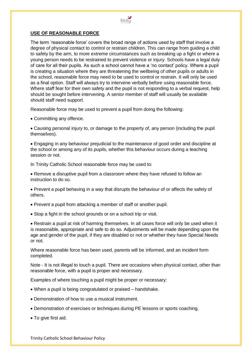

## **USE OF REASONABLE FORCE**

The term 'reasonable force' covers the broad range of actions used by staff that involve a degree of physical contact to control or restrain children. This can range from guiding a child to safety by the arm, to more extreme circumstances such as breaking up a fight or where a young person needs to be restrained to prevent violence or injury. Schools have a legal duty of care for all their pupils. As such a school cannot have a 'no contact' policy. Where a pupil is creating a situation where they are threatening the wellbeing of other pupils or adults in the school, reasonable force may need to be used to control or restrain. It will only be used as a final option. Staff will always try to intervene verbally before using reasonable force. Where staff fear for their own safety and the pupil is not responding to a verbal request, help should be sought before intervening. A senior member of staff will usually be available should staff need support.

Reasonable force may be used to prevent a pupil from doing the following:

• Committing any offence.

• Causing personal injury to, or damage to the property of, any person (including the pupil themselves).

• Engaging in any behaviour prejudicial to the maintenance of good order and discipline at the school or among any of its pupils, whether this behaviour occurs during a teaching session or not.

In Trinity Catholic School reasonable force may be used to:

• Remove a disruptive pupil from a classroom where they have refused to follow an instruction to do so.

• Prevent a pupil behaving in a way that disrupts the behaviour of or affects the safety of others.

- Prevent a pupil from attacking a member of staff or another pupil.
- Stop a fight in the school grounds or on a school trip or visit.

• Restrain a pupil at risk of harming themselves. In all cases force will only be used when it is reasonable, appropriate and safe to do so. Adjustments will be made depending upon the age and gender of the pupil, if they are disabled or not or whether they have Special Needs or not.

Where reasonable force has been used, parents will be informed, and an incident form completed.

Note - It is not illegal to touch a pupil. There are occasions when physical contact, other than reasonable force, with a pupil is proper and necessary.

Examples of where touching a pupil might be proper or necessary:

- When a pupil is being congratulated or praised handshake.
- Demonstration of how to use a musical instrument.
- Demonstration of exercises or techniques during PE lessons or sports coaching.
- To give first aid.